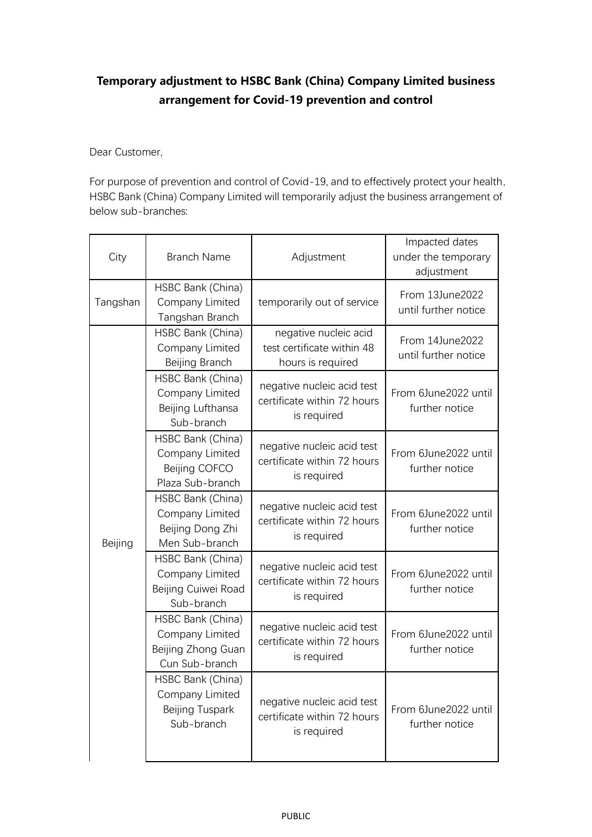## **Temporary adjustment to HSBC Bank (China) Company Limited business arrangement for Covid-19 prevention and control**

Dear Customer,

For purpose of prevention and control of Covid-19, and to effectively protect your health, HSBC Bank (China) Company Limited will temporarily adjust the business arrangement of below sub-branches:

| City     | <b>Branch Name</b>                                                           | Adjustment                                                               | Impacted dates<br>under the temporary<br>adjustment |
|----------|------------------------------------------------------------------------------|--------------------------------------------------------------------------|-----------------------------------------------------|
| Tangshan | HSBC Bank (China)<br>Company Limited<br>Tangshan Branch                      | temporarily out of service                                               | From 13June2022<br>until further notice             |
| Beijing  | HSBC Bank (China)<br>Company Limited<br>Beijing Branch                       | negative nucleic acid<br>test certificate within 48<br>hours is required | From 14June2022<br>until further notice             |
|          | HSBC Bank (China)<br>Company Limited<br>Beijing Lufthansa<br>Sub-branch      | negative nucleic acid test<br>certificate within 72 hours<br>is required | From 6June2022 until<br>further notice              |
|          | HSBC Bank (China)<br>Company Limited<br>Beijing COFCO<br>Plaza Sub-branch    | negative nucleic acid test<br>certificate within 72 hours<br>is required | From 6June2022 until<br>further notice              |
|          | HSBC Bank (China)<br>Company Limited<br>Beijing Dong Zhi<br>Men Sub-branch   | negative nucleic acid test<br>certificate within 72 hours<br>is required | From 6June2022 until<br>further notice              |
|          | HSBC Bank (China)<br>Company Limited<br>Beijing Cuiwei Road<br>Sub-branch    | negative nucleic acid test<br>certificate within 72 hours<br>is required | From 6June2022 until<br>further notice              |
|          | HSBC Bank (China)<br>Company Limited<br>Beijing Zhong Guan<br>Cun Sub-branch | negative nucleic acid test<br>certificate within 72 hours<br>is required | From 6June2022 until<br>further notice              |
|          | HSBC Bank (China)<br>Company Limited<br>Beijing Tuspark<br>Sub-branch        | negative nucleic acid test<br>certificate within 72 hours<br>is required | From 6June2022 until<br>further notice              |